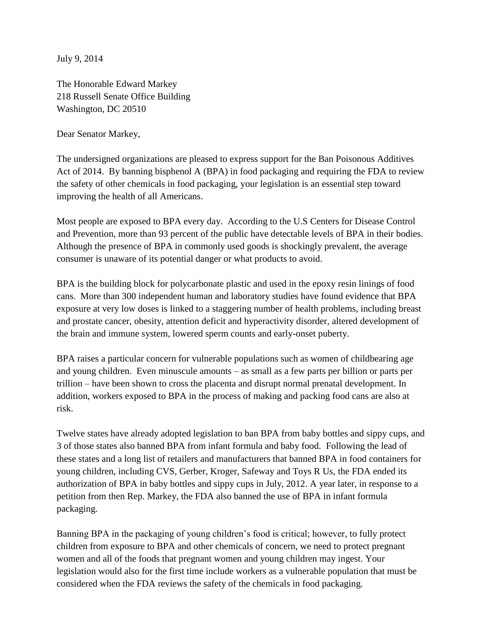July 9, 2014

The Honorable Edward Markey 218 Russell Senate Office Building Washington, DC 20510

Dear Senator Markey,

The undersigned organizations are pleased to express support for the Ban Poisonous Additives Act of 2014. By banning bisphenol A (BPA) in food packaging and requiring the FDA to review the safety of other chemicals in food packaging, your legislation is an essential step toward improving the health of all Americans.

Most people are exposed to BPA every day. According to the U.S Centers for Disease Control and Prevention, more than 93 percent of the public have detectable levels of BPA in their bodies. Although the presence of BPA in commonly used goods is shockingly prevalent, the average consumer is unaware of its potential danger or what products to avoid.

BPA is the building block for polycarbonate plastic and used in the epoxy resin linings of food cans. More than 300 independent human and laboratory studies have found evidence that BPA exposure at very low doses is linked to a staggering number of health problems, including breast and prostate cancer, obesity, attention deficit and hyperactivity disorder, altered development of the brain and immune system, lowered sperm counts and early-onset puberty.

BPA raises a particular concern for vulnerable populations such as women of childbearing age and young children. Even minuscule amounts – as small as a few parts per billion or parts per trillion – have been shown to cross the placenta and disrupt normal prenatal development. In addition, workers exposed to BPA in the process of making and packing food cans are also at risk.

Twelve states have already adopted legislation to ban BPA from baby bottles and sippy cups, and 3 of those states also banned BPA from infant formula and baby food. Following the lead of these states and a long list of retailers and manufacturers that banned BPA in food containers for young children, including CVS, Gerber, Kroger, Safeway and Toys R Us, the FDA ended its authorization of BPA in baby bottles and sippy cups in July, 2012. A year later, in response to a petition from then Rep. Markey, the FDA also banned the use of BPA in infant formula packaging.

Banning BPA in the packaging of young children's food is critical; however, to fully protect children from exposure to BPA and other chemicals of concern, we need to protect pregnant women and all of the foods that pregnant women and young children may ingest. Your legislation would also for the first time include workers as a vulnerable population that must be considered when the FDA reviews the safety of the chemicals in food packaging.